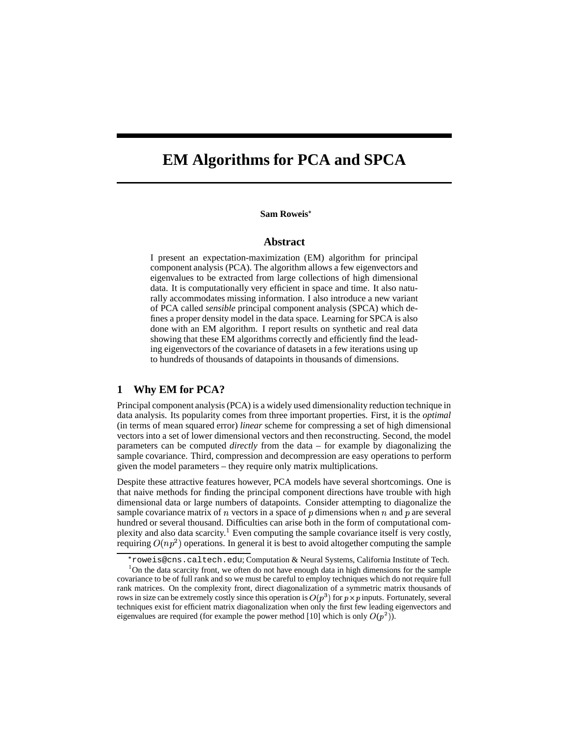# **EM Algorithms for PCA and SPCA**

### **Sam Roweis**

## **Abstract**

I present an expectation-maximization (EM) algorithm for principal component analysis (PCA). The algorithm allows a few eigenvectors and eigenvalues to be extracted from large collections of high dimensional data. It is computationally very efficient in space and time. It also naturally accommodates missing information. I also introduce a new variant of PCA called *sensible* principal component analysis (SPCA) which defines a proper density model in the data space. Learning for SPCA is also done with an EM algorithm. I report results on synthetic and real data showing that these EM algorithms correctly and efficiently find the leading eigenvectors of the covariance of datasets in a few iterations using up to hundreds of thousands of datapoints in thousands of dimensions.

# **1 Why EM for PCA?**

Principal component analysis (PCA) is a widely used dimensionality reduction technique in data analysis. Its popularity comes from three important properties. First, it is the *optimal* (in terms of mean squared error) *linear* scheme for compressing a set of high dimensional vectors into a set of lower dimensional vectors and then reconstructing. Second, the model parameters can be computed *directly* from the data – for example by diagonalizing the sample covariance. Third, compression and decompression are easy operations to perform given the model parameters – they require only matrix multiplications.

Despite these attractive features however, PCA models have several shortcomings. One is that naive methods for finding the principal component directions have trouble with high dimensional data or large numbers of datapoints. Consider attempting to diagonalize the sample covariance matrix of  $n$  vectors in a space of  $p$  dimensions when  $n$  and  $p$  are several hundred or several thousand. Difficulties can arise both in the form of computational complexity and also data scarcity.<sup>1</sup> Even computing the sample covariance itself is very costly, requiring  $O(np^2)$  operations. In general it is best to avoid altogether computing the sample

roweis@cns.caltech.edu; Computation & Neural Systems, California Institute of Tech.

 $1$ On the data scarcity front, we often do not have enough data in high dimensions for the sample covariance to be of full rank and so we must be careful to employ techniques which do not require full rank matrices. On the complexity front, direct diagonalization of a symmetric matrix thousands of rows in size can be extremely costly since this operation is  $O(p^3)$  for  $p \times p$  inputs. Fortunately, several techniques exist for efficient matrix diagonalization when only the first few leading eigenvectors and eigenvalues are required (for example the power method [10] which is only  $O(p^2)$ ).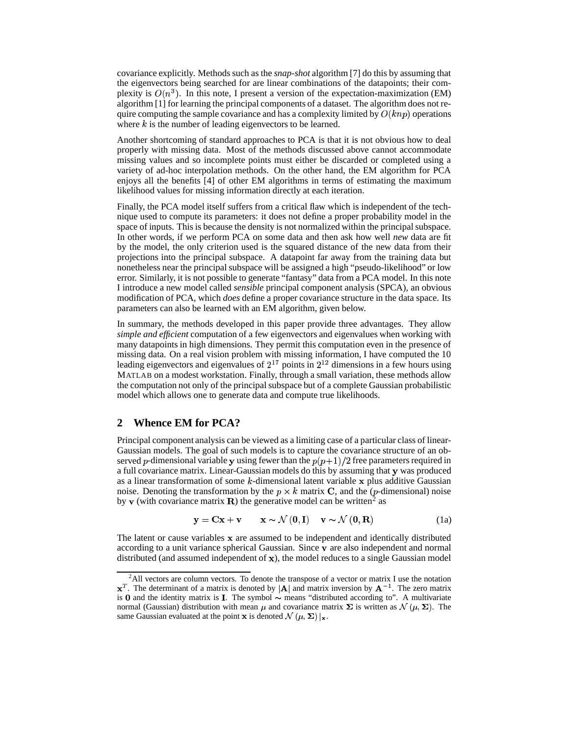covariance explicitly. Methods such as the *snap-shot* algorithm [7] do this by assuming that the eigenvectors being searched for are linear combinations of the datapoints; their complexity is  $O(n^3)$ . In this note, I present a version of the expectation-maximization (EM) algorithm [1] for learning the principal components of a dataset. The algorithm does not require computing the sample covariance and has a complexity limited by  $O(knp)$  operations where  $k$  is the number of leading eigenvectors to be learned.

Another shortcoming of standard approaches to PCA is that it is not obvious how to deal properly with missing data. Most of the methods discussed above cannot accommodate missing values and so incomplete points must either be discarded or completed using a variety of ad-hoc interpolation methods. On the other hand, the EM algorithm for PCA enjoys all the benefits [4] of other EM algorithms in terms of estimating the maximum likelihood values for missing information directly at each iteration.

Finally, the PCA model itself suffers from a critical flaw which is independent of the technique used to compute its parameters: it does not define a proper probability model in the space of inputs. This is because the density is not normalized within the principal subspace. In other words, if we perform PCA on some data and then ask how well *new* data are fit by the model, the only criterion used is the squared distance of the new data from their projections into the principal subspace. A datapoint far away from the training data but nonetheless near the principal subspace will be assigned a high "pseudo-likelihood" or low error. Similarly, it is not possible to generate "fantasy" data from a PCA model. In this note I introduce a new model called *sensible* principal component analysis (SPCA), an obvious modification of PCA, which *does* define a proper covariance structure in the data space. Its parameters can also be learned with an EM algorithm, given below.

In summary, the methods developed in this paper provide three advantages. They allow *simple and efficient* computation of a few eigenvectors and eigenvalues when working with many datapoints in high dimensions. They permit this computation even in the presence of missing data. On a real vision problem with missing information, I have computed the 10 leading eigenvectors and eigenvalues of  $2^{17}$  points in  $2^{12}$  dimensions in a few hours using MATLAB on a modest workstation. Finally, through a small variation, these methods allow the computation not only of the principal subspace but of a complete Gaussian probabilistic model which allows one to generate data and compute true likelihoods.

### **2 Whence EM for PCA?**

Principal component analysis can be viewed as a limiting case of a particular class of linear-Gaussian models. The goal of such models is to capture the covariance structure of an observed p-dimensional variable y using fewer than the  $p(p+1)/2$  free parameters required in a full covariance matrix. Linear-Gaussian models do this by assuming that y was produced as a linear transformation of some  $k$ -dimensional latent variable  $x$  plus additive Gaussian noise. Denoting the transformation by the  $p \times k$  matrix C, and the (*p*-dimensional) noise by **v** (with covariance matrix **R**) the generative model can be written<sup>2</sup> as

$$
\mathbf{y} = \mathbf{C}\mathbf{x} + \mathbf{v} \qquad \mathbf{x} \sim \mathcal{N}(\mathbf{0}, \mathbf{I}) \quad \mathbf{v} \sim \mathcal{N}(\mathbf{0}, \mathbf{R}) \tag{1a}
$$

The latent or cause variables  $x$  are assumed to be independent and identically distributed according to a unit variance spherical Gaussian. Since  $\bf{v}$  are also independent and normal distributed (and assumed independent of  $x$ ), the model reduces to a single Gaussian model

 $2$ All vectors are column vectors. To denote the transpose of a vector or matrix I use the notation  $x^T$ . The determinant of a matrix is denoted by  $|A|$  and matrix inversion by  $A^{-1}$ . The zero matrix is  $0$  and the identity matrix is I. The symbol  $\sim$  means "distributed according to". A multivariate normal (Gaussian) distribution with mean  $\mu$  and covariance matrix  $\Sigma$  is written as  $\mathcal{N}(\mu, \Sigma)$ . The same Gaussian evaluated at the point **x** is denoted  $\mathcal{N}(\mu, \Sigma)|_{\mathbf{x}}$ .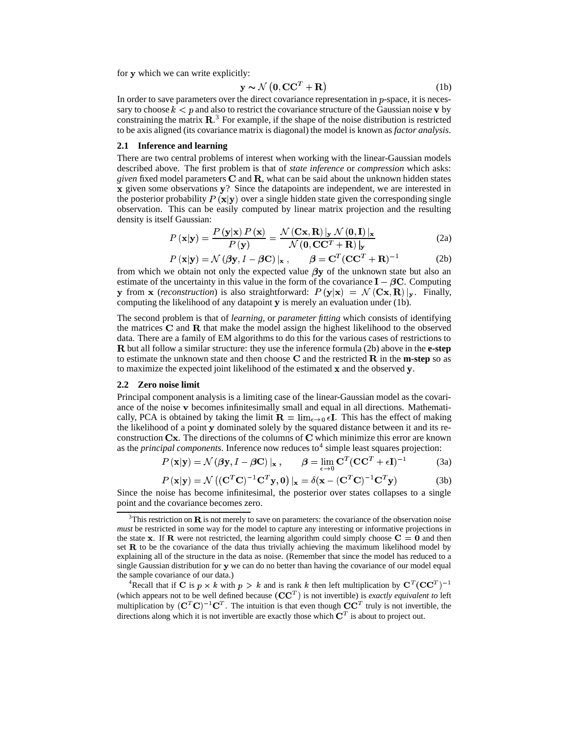for  $\bf v$  which we can write explicitly:

$$
\mathbf{y} \sim \mathcal{N}\left(\mathbf{0}, \mathbf{C}\mathbf{C}^T + \mathbf{R}\right) \tag{1b}
$$

In order to save parameters over the direct covariance representation in  $p$ -space, it is necessary to choose  $k < p$  and also to restrict the covariance structure of the Gaussian noise  $\bf{v}$  by constraining the matrix  $\mathbf{R}^{3}$ . For example, if the shape of the noise distribution is restricted to be axis aligned (its covariance matrix is diagonal) the model is known as *factor analysis*.

#### **2.1 Inference and learning**

There are two central problems of interest when working with the linear-Gaussian models described above. The first problem is that of *state inference* or *compression* which asks: *given* fixed model parameters  $C$  and  $R$ , what can be said about the unknown hidden states  $x$  given some observations  $y$ ? Since the datapoints are independent, we are interested in the posterior probability  $P(\mathbf{x}|\mathbf{y})$  over a single hidden state given the corresponding single observation. This can be easily computed by linear matrix projection and the resulting density is itself Gaussian:

$$
P(\mathbf{x}|\mathbf{y}) = \frac{P(\mathbf{y}|\mathbf{x}) P(\mathbf{x})}{P(\mathbf{y})} = \frac{\mathcal{N}(\mathbf{C}\mathbf{x}, \mathbf{R})|_{\mathbf{y}} \mathcal{N}(\mathbf{0}, \mathbf{I})|_{\mathbf{x}}}{\mathcal{N}(\mathbf{0}, \mathbf{C}\mathbf{C}^T + \mathbf{R})|_{\mathbf{y}}}
$$
(2a)

$$
P(\mathbf{x}|\mathbf{y}) = \mathcal{N}(\beta \mathbf{y}, I - \beta \mathbf{C})|_{\mathbf{x}}, \qquad \beta = \mathbf{C}^T (\mathbf{C}\mathbf{C}^T + \mathbf{R})^{-1}
$$
 (2b)

from which we obtain not only the expected value  $\beta y$  of the unknown state but also an estimate of the uncertainty in this value in the form of the covariance  $I - \beta C$ . Computing **y** from **x** (*reconstruction*) is also straightforward:  $P(y|\mathbf{x}) = \mathcal{N}(\mathbf{C}\mathbf{x}, \mathbf{R})|_{\mathbf{y}}$ . Finally, computing the likelihood of any datapoint  $\bf{y}$  is merely an evaluation under (1b).

The second problem is that of *learning*, or *parameter fitting* which consists of identifying the matrices  $C$  and  $R$  that make the model assign the highest likelihood to the observed data. There are a family of EM algorithms to do this for the various cases of restrictions to but all follow a similar structure: they use the inference formula (2b) above in the **e-step** to estimate the unknown state and then choose  $C$  and the restricted  $R$  in the **m-step** so as to maximize the expected joint likelihood of the estimated  $x$  and the observed  $y$ .

#### **2.2 Zero noise limit**

Principal component analysis is a limiting case of the linear-Gaussian model as the covariance of the noise  $\bf{v}$  becomes infinitesimally small and equal in all directions. Mathematically, PCA is obtained by taking the limit  $\mathbf{R} = \lim_{\epsilon \to 0} \epsilon \mathbf{I}$ . This has the effect of making the likelihood of a point y dominated solely by the squared distance between it and its reconstruction  $Cx$ . The directions of the columns of  $C$  which minimize this error are known as the *principal components*. Inference now reduces to<sup>4</sup> simple least squares projection:

$$
P(\mathbf{x}|\mathbf{y}) = \mathcal{N}(\beta \mathbf{y}, I - \beta \mathbf{C}) \big|_{\mathbf{x}}, \qquad \beta = \lim_{\epsilon \to 0} \mathbf{C}^T (\mathbf{C} \mathbf{C}^T + \epsilon \mathbf{I})^{-1} \tag{3a}
$$

$$
P(\mathbf{x}|\mathbf{y}) = \mathcal{N}\left( (\mathbf{C}^T \mathbf{C})^{-1} \mathbf{C}^T \mathbf{y}, \mathbf{0} \right)|_{\mathbf{x}} = \delta(\mathbf{x} - (\mathbf{C}^T \mathbf{C})^{-1} \mathbf{C}^T \mathbf{y})
$$
(3b)

Since the noise has become infinitesimal, the posterior over states collapses to a single point and the covariance becomes zero.

 $3$ This restriction on **R** is not merely to save on parameters: the covariance of the observation noise *must* be restricted in some way for the model to capture any interesting or informative projections in the state **x**. If **R** were not restricted, the learning algorithm could simply choose  $C = 0$  and then set  $\bf R$  to be the covariance of the data thus trivially achieving the maximum likelihood model by explaining all of the structure in the data as noise. (Remember that since the model has reduced to a single Gaussian distribution for  $y$  we can do no better than having the covariance of our model equal the sample covariance of our data.)

<sup>&</sup>lt;sup>4</sup>Recall that if **C** is  $p \times k$  with  $p > k$  and is rank k then left multiplication by  $C^T (CC^T)^{-1}$ (which appears not to be well defined because  $({\bf CC}^T)$  is not invertible) is *exactly equivalent to* left multiplication by  $({\bf C}^T{\bf C})^{-1}{\bf C}^T$ . The intuition is that even though  ${\bf C} {\bf C}^T$  truly is not invertible, the directions along which it is not invertible are exactly those which  $\mathbb{C}^T$  is about to project out.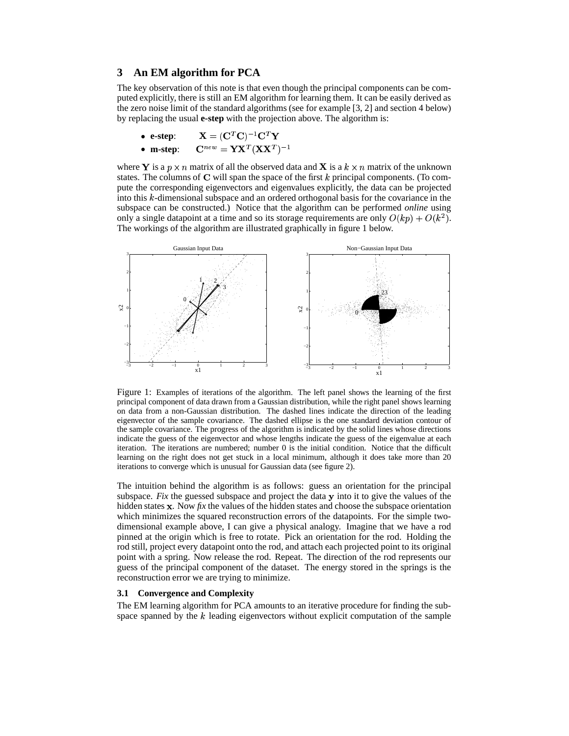# **3 An EM algorithm for PCA**

The key observation of this note is that even though the principal components can be computed explicitly, there is still an EM algorithm for learning them. It can be easily derived as the zero noise limit of the standard algorithms (see for example [3, 2] and section 4 below) by replacing the usual **e-step** with the projection above. The algorithm is:

- $\bullet$  e-step: **e-step:**  $\mathbf{X} = (\mathbf{C}^T \mathbf{C})^{-1} \mathbf{C}^T \mathbf{Y}$
- $\bullet$  m-step:  $\mathbf{m\text{-}step:} \qquad \mathbf{C}^{new} = \mathbf{Y} \mathbf{X}^T (\mathbf{X} \mathbf{X}^T)^{-1}$

where **Y** is a  $p \times n$  matrix of all the observed data and **X** is a  $k \times n$  matrix of the unknown states. The columns of  $C$  will span the space of the first  $k$  principal components. (To compute the corresponding eigenvectors and eigenvalues explicitly, the data can be projected into this  $k$ -dimensional subspace and an ordered orthogonal basis for the covariance in the subspace can be constructed.) Notice that the algorithm can be performed *online* using only a single datapoint at a time and so its storage requirements are only  $O(kp) + O(k^2)$ . The workings of the algorithm are illustrated graphically in figure 1 below.



Figure 1: Examples of iterations of the algorithm. The left panel shows the learning of the first principal component of data drawn from a Gaussian distribution, while the right panel shows learning on data from a non-Gaussian distribution. The dashed lines indicate the direction of the leading eigenvector of the sample covariance. The dashed ellipse is the one standard deviation contour of the sample covariance. The progress of the algorithm is indicated by the solid lines whose directions indicate the guess of the eigenvector and whose lengths indicate the guess of the eigenvalue at each iteration. The iterations are numbered; number 0 is the initial condition. Notice that the difficult learning on the right does not get stuck in a local minimum, although it does take more than 20 iterations to converge which is unusual for Gaussian data (see figure 2).

The intuition behind the algorithm is as follows: guess an orientation for the principal subspace. *Fix* the guessed subspace and project the data **y** into it to give the values of the hidden states  $x$ . Now  $fix$  the values of the hidden states and choose the subspace orientation which minimizes the squared reconstruction errors of the datapoints. For the simple twodimensional example above, I can give a physical analogy. Imagine that we have a rod pinned at the origin which is free to rotate. Pick an orientation for the rod. Holding the rod still, project every datapoint onto the rod, and attach each projected point to its original point with a spring. Now release the rod. Repeat. The direction of the rod represents our guess of the principal component of the dataset. The energy stored in the springs is the reconstruction error we are trying to minimize.

### **3.1 Convergence and Complexity**

The EM learning algorithm for PCA amounts to an iterative procedure for finding the subspace spanned by the  $k$  leading eigenvectors without explicit computation of the sample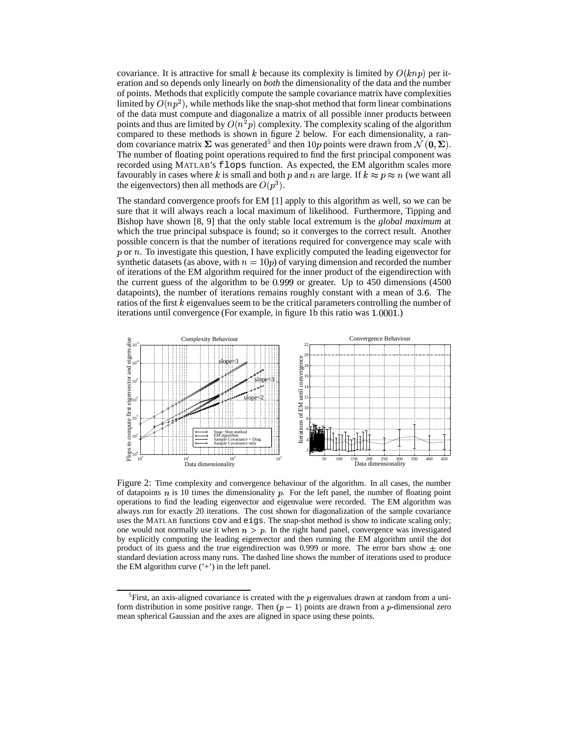covariance. It is attractive for small k because its complexity is limited by  $O(knp)$  per iteration and so depends only linearly on *both* the dimensionality of the data and the number of points. Methods that explicitly compute the sample covariance matrix have complexities limited by  $O(np^2)$ , while methods like the snap-shot method that form linear combinations of the data must compute and diagonalize a matrix of all possible inner products between points and thus are limited by  $O(n^2p)$  complexity. The complexity scaling of the algorithm compared to these methods is shown in figure 2 below. For each dimensionality, a random covariance matrix  $\Sigma$  was generated<sup>5</sup> and then 10p points were drawn from  $\mathcal{N}(0, \Sigma)$ . The number of floating point operations required to find the first principal component was recorded using MATLAB's flops function. As expected, the EM algorithm scales more favourably in cases where k is small and both p and n are large. If  $k \approx p \approx n$  (we want all the eigenvectors) then all methods are  $O(p^3)$ .

The standard convergence proofs for EM [1] apply to this algorithm as well, so we can be sure that it will always reach a local maximum of likelihood. Furthermore, Tipping and Bishop have shown [8, 9] that the only stable local extremum is the *global maximum* at which the true principal subspace is found; so it converges to the correct result. Another possible concern is that the number of iterations required for convergence may scale with  $p$  or  $n$ . To investigate this question, I have explicitly computed the leading eigenvector for synthetic datasets (as above, with  $n = 10p$ ) of varying dimension and recorded the number of iterations of the EM algorithm required for the inner product of the eigendirection with the current guess of the algorithm to be  $0.999$  or greater. Up to 450 dimensions  $(4500$ datapoints), the number of iterations remains roughly constant with a mean of 3.6. The ratios of the first  $k$  eigenvalues seem to be the critical parameters controlling the number of iterations until convergence (For example, in figure 1b this ratio was 1.0001.)



Figure 2: Time complexity and convergence behaviour of the algorithm. In all cases, the number of datapoints  $n$  is 10 times the dimensionality  $p$ . For the left panel, the number of floating point operations to find the leading eigenvector and eigenvalue were recorded. The EM algorithm was always run for exactly 20 iterations. The cost shown for diagonalization of the sample covariance uses the MATLAB functions cov and eigs. The snap-shot method is show to indicate scaling only; one would not normally use it when  $n > p$ . In the right hand panel, convergence was investigated by explicitly computing the leading eigenvector and then running the EM algorithm until the dot product of its guess and the true eigendirection was 0.999 or more. The error bars show  $\pm$  one standard deviation across many runs. The dashed line shows the number of iterations used to produce the EM algorithm curve  $('+)$  in the left panel.

<sup>&</sup>lt;sup>5</sup> First, an axis-aligned covariance is created with the  $p$  eigenvalues drawn at random from a uniform distribution in some positive range. Then  $(p - 1)$  points are drawn from a p-dimensional zero mean spherical Gaussian and the axes are aligned in space using these points.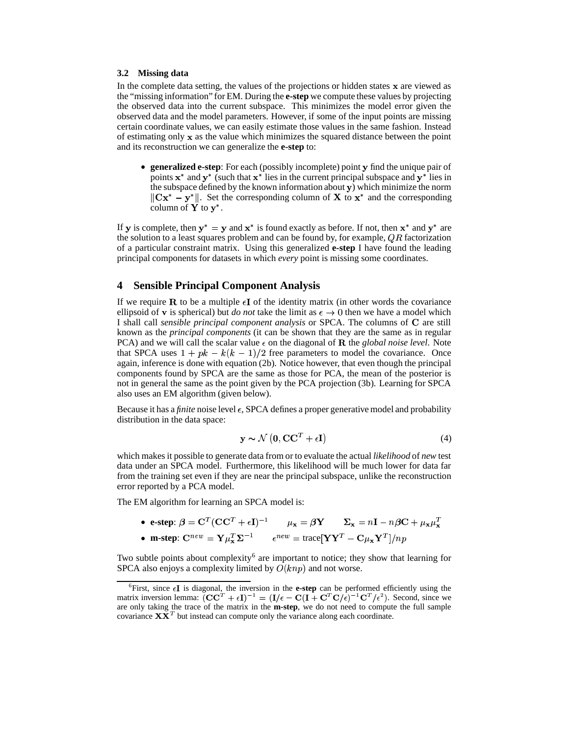### **3.2 Missing data**

In the complete data setting, the values of the projections or hidden states  $x$  are viewed as the "missing information" for EM. During the **e-step** we compute these values by projecting the observed data into the current subspace. This minimizes the model error given the observed data and the model parameters. However, if some of the input points are missing certain coordinate values, we can easily estimate those values in the same fashion. Instead of estimating only  $x$  as the value which minimizes the squared distance between the point and its reconstruction we can generalize the **e-step** to:

**generalized e-step**: For each (possibly incomplete) point **y** find the unique pair of points  $x^*$  and  $y^*$  (such that  $x^*$  lies in the current principal subspace and  $y^*$  lies in the subspace defined by the known information about  $\mathbf y$ ) which minimize the norm  $||Cx^* - y^*||$ . Set the corresponding column of **X** to  $x^*$  and the corresponding column of  $Y$  to  $y^*$ .

If **y** is complete, then  $y^* = y$  and  $x^*$  is found exactly as before. If not, then  $x^*$  and  $y^*$  are If **y** is complete, then  $y^* = y$  and  $x^*$  is found exactly as before. If not, then  $x^*$  and  $y^*$  are the solution to a least squares problem and can be found by, for example, *QR* factorization of a particular constraint matrix. Using this generalized **e-step** I have found the leading principal components for datasets in which *every* point is missing some coordinates.

# **4 Sensible Principal Component Analysis**

If we require **R** to be a multiple  $\epsilon I$  of the identity matrix (in other words the covariance ellipsoid of **v** is spherical) but *do not* take the limit as  $\epsilon \to 0$  then we have a model which I shall call *sensible* principal component analysis or SPCA. The columns of C are still known as the *principal components* (it can be shown that they are the same as in regular PCA) and we will call the scalar value  $\epsilon$  on the diagonal of **R** the *global noise level*. Note that SPCA uses  $1 + pk - k(k - 1)/2$  free parameters to model the covariance. Once again, inference is done with equation (2b). Notice however, that even though the principal components found by SPCA are the same as those for PCA, the mean of the posterior is not in general the same as the point given by the PCA projection (3b). Learning for SPCA also uses an EM algorithm (given below).

Because it has a *finite* noise level  $\epsilon$ , SPCA defines a proper generative model and probability distribution in the data space:

$$
\mathbf{y} \sim \mathcal{N}\left(\mathbf{0}, \mathbf{CC}^T + \epsilon \mathbf{I}\right) \tag{4}
$$

which makes it possible to generate data from or to evaluate the actual *likelihood* of *new* test data under an SPCA model. Furthermore, this likelihood will be much lower for data far from the training set even if they are near the principal subspace, unlike the reconstruction error reported by a PCA model.

The EM algorithm for learning an SPCA model is:

\n- e-step: 
$$
\beta = C^T (CC^T + \epsilon I)^{-1}
$$
  $\mu_{\mathbf{x}} = \beta \mathbf{Y}$   $\Sigma_{\mathbf{x}} = n \mathbf{I} - n \beta C + \mu_{\mathbf{x}} \mu_{\mathbf{x}}^T$
\n- m-step:  $C^{new} = \mathbf{Y} \mu_{\mathbf{x}}^T \Sigma^{-1}$   $\epsilon^{new} = \text{trace}[\mathbf{Y} \mathbf{Y}^T - C \mu_{\mathbf{x}} \mathbf{Y}^T]/np$
\n

Two subtle points about complexity<sup>6</sup> are important to notice; they show that learning for SPCA also enjoys a complexity limited by  $O(knp)$  and not worse.

<sup>&</sup>lt;sup>6</sup>First, since  $\epsilon I$  is diagonal, the inversion in the **e-step** can be performed efficiently using the matrix inversion lemma:  $(CC^{T} + \epsilon I)^{-1} = (I/\epsilon - C(I + C^{T}C/\epsilon)^{-1}C^{T}/\epsilon^{2})$ . Second, since we are only taking the trace of the matrix in the **m-step**, we do not need to compute the full sample covariance  $\mathbf{X} \mathbf{X}^T$  but instead can compute only the variance along each coordinate.